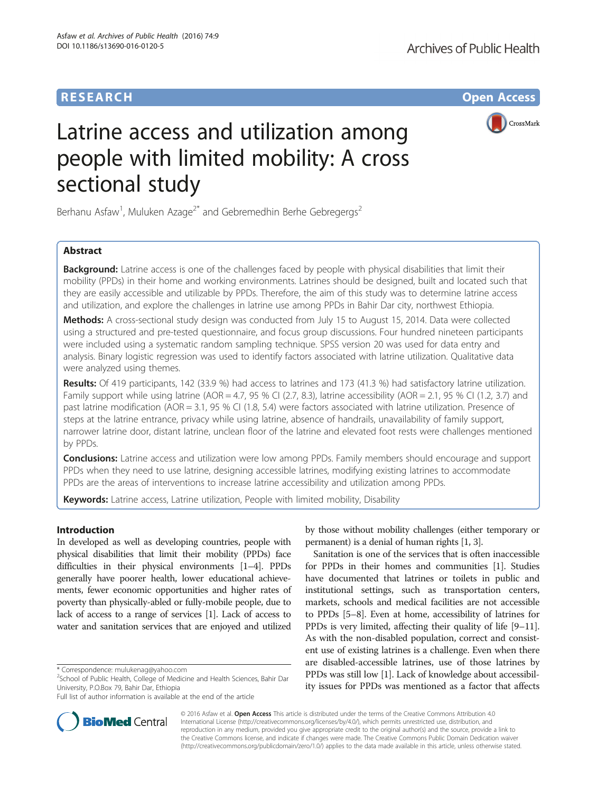# **RESEARCH CHE Open Access**

CrossMark



Berhanu Asfaw<sup>1</sup>, Muluken Azage<sup>2\*</sup> and Gebremedhin Berhe Gebregergs<sup>2</sup>

## Abstract

**Background:** Latrine access is one of the challenges faced by people with physical disabilities that limit their mobility (PPDs) in their home and working environments. Latrines should be designed, built and located such that they are easily accessible and utilizable by PPDs. Therefore, the aim of this study was to determine latrine access and utilization, and explore the challenges in latrine use among PPDs in Bahir Dar city, northwest Ethiopia.

Methods: A cross-sectional study design was conducted from July 15 to August 15, 2014. Data were collected using a structured and pre-tested questionnaire, and focus group discussions. Four hundred nineteen participants were included using a systematic random sampling technique. SPSS version 20 was used for data entry and analysis. Binary logistic regression was used to identify factors associated with latrine utilization. Qualitative data were analyzed using themes.

Results: Of 419 participants, 142 (33.9 %) had access to latrines and 173 (41.3 %) had satisfactory latrine utilization. Family support while using latrine (AOR = 4.7, 95 % CI (2.7, 8.3), latrine accessibility (AOR = 2.1, 95 % CI (1.2, 3.7) and past latrine modification (AOR = 3.1, 95 % CI (1.8, 5.4) were factors associated with latrine utilization. Presence of steps at the latrine entrance, privacy while using latrine, absence of handrails, unavailability of family support, narrower latrine door, distant latrine, unclean floor of the latrine and elevated foot rests were challenges mentioned by PPDs.

**Conclusions:** Latrine access and utilization were low among PPDs. Family members should encourage and support PPDs when they need to use latrine, designing accessible latrines, modifying existing latrines to accommodate PPDs are the areas of interventions to increase latrine accessibility and utilization among PPDs.

Keywords: Latrine access, Latrine utilization, People with limited mobility, Disability

## Introduction

In developed as well as developing countries, people with physical disabilities that limit their mobility (PPDs) face difficulties in their physical environments [[1](#page-6-0)–[4\]](#page-6-0). PPDs generally have poorer health, lower educational achievements, fewer economic opportunities and higher rates of poverty than physically-abled or fully-mobile people, due to lack of access to a range of services [\[1\]](#page-6-0). Lack of access to water and sanitation services that are enjoyed and utilized



Sanitation is one of the services that is often inaccessible for PPDs in their homes and communities [[1\]](#page-6-0). Studies have documented that latrines or toilets in public and institutional settings, such as transportation centers, markets, schools and medical facilities are not accessible to PPDs [\[5](#page-6-0)–[8\]](#page-6-0). Even at home, accessibility of latrines for PPDs is very limited, affecting their quality of life [\[9](#page-6-0)–[11](#page-6-0)]. As with the non-disabled population, correct and consistent use of existing latrines is a challenge. Even when there are disabled-accessible latrines, use of those latrines by PPDs was still low [\[1\]](#page-6-0). Lack of knowledge about accessibility issues for PPDs was mentioned as a factor that affects



© 2016 Asfaw et al. Open Access This article is distributed under the terms of the Creative Commons Attribution 4.0 International License [\(http://creativecommons.org/licenses/by/4.0/](http://creativecommons.org/licenses/by/4.0/)), which permits unrestricted use, distribution, and reproduction in any medium, provided you give appropriate credit to the original author(s) and the source, provide a link to the Creative Commons license, and indicate if changes were made. The Creative Commons Public Domain Dedication waiver [\(http://creativecommons.org/publicdomain/zero/1.0/](http://creativecommons.org/publicdomain/zero/1.0/)) applies to the data made available in this article, unless otherwise stated.

<sup>\*</sup> Correspondence: [mulukenag@yahoo.com](mailto:mulukenag@yahoo.com) <sup>2</sup>

<sup>&</sup>lt;sup>2</sup>School of Public Health, College of Medicine and Health Sciences, Bahir Dar University, P.O.Box 79, Bahir Dar, Ethiopia

Full list of author information is available at the end of the article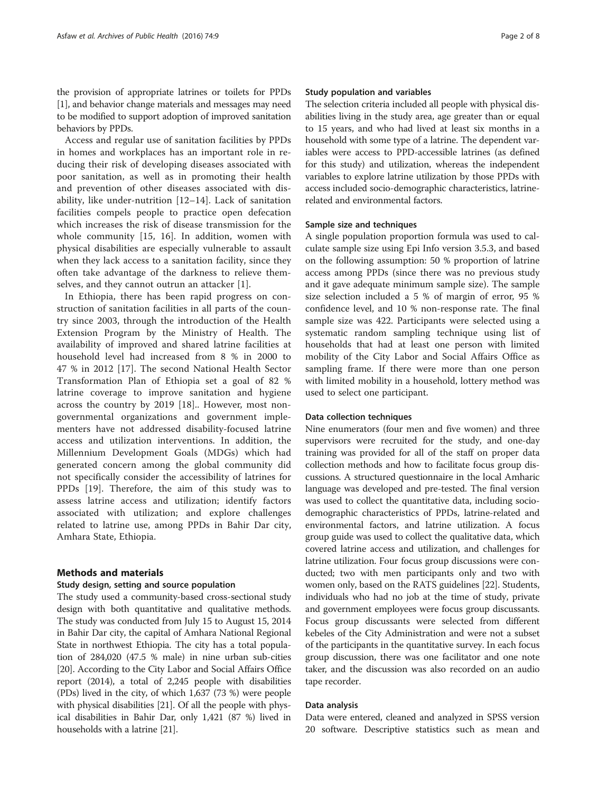the provision of appropriate latrines or toilets for PPDs [[1\]](#page-6-0), and behavior change materials and messages may need to be modified to support adoption of improved sanitation behaviors by PPDs.

Access and regular use of sanitation facilities by PPDs in homes and workplaces has an important role in reducing their risk of developing diseases associated with poor sanitation, as well as in promoting their health and prevention of other diseases associated with disability, like under-nutrition [[12](#page-6-0)–[14\]](#page-6-0). Lack of sanitation facilities compels people to practice open defecation which increases the risk of disease transmission for the whole community [[15, 16](#page-7-0)]. In addition, women with physical disabilities are especially vulnerable to assault when they lack access to a sanitation facility, since they often take advantage of the darkness to relieve themselves, and they cannot outrun an attacker [[1](#page-6-0)].

In Ethiopia, there has been rapid progress on construction of sanitation facilities in all parts of the country since 2003, through the introduction of the Health Extension Program by the Ministry of Health. The availability of improved and shared latrine facilities at household level had increased from 8 % in 2000 to 47 % in 2012 [\[17](#page-7-0)]. The second National Health Sector Transformation Plan of Ethiopia set a goal of 82 % latrine coverage to improve sanitation and hygiene across the country by 2019 [\[18](#page-7-0)].. However, most nongovernmental organizations and government implementers have not addressed disability-focused latrine access and utilization interventions. In addition, the Millennium Development Goals (MDGs) which had generated concern among the global community did not specifically consider the accessibility of latrines for PPDs [[19\]](#page-7-0). Therefore, the aim of this study was to assess latrine access and utilization; identify factors associated with utilization; and explore challenges related to latrine use, among PPDs in Bahir Dar city, Amhara State, Ethiopia.

### Methods and materials

#### Study design, setting and source population

The study used a community-based cross-sectional study design with both quantitative and qualitative methods. The study was conducted from July 15 to August 15, 2014 in Bahir Dar city, the capital of Amhara National Regional State in northwest Ethiopia. The city has a total population of 284,020 (47.5 % male) in nine urban sub-cities [[20](#page-7-0)]. According to the City Labor and Social Affairs Office report (2014), a total of 2,245 people with disabilities (PDs) lived in the city, of which 1,637 (73 %) were people with physical disabilities [[21](#page-7-0)]. Of all the people with physical disabilities in Bahir Dar, only 1,421 (87 %) lived in households with a latrine [[21](#page-7-0)].

#### Study population and variables

The selection criteria included all people with physical disabilities living in the study area, age greater than or equal to 15 years, and who had lived at least six months in a household with some type of a latrine. The dependent variables were access to PPD-accessible latrines (as defined for this study) and utilization, whereas the independent variables to explore latrine utilization by those PPDs with access included socio-demographic characteristics, latrinerelated and environmental factors.

#### Sample size and techniques

A single population proportion formula was used to calculate sample size using Epi Info version 3.5.3, and based on the following assumption: 50 % proportion of latrine access among PPDs (since there was no previous study and it gave adequate minimum sample size). The sample size selection included a 5 % of margin of error, 95 % confidence level, and 10 % non-response rate. The final sample size was 422. Participants were selected using a systematic random sampling technique using list of households that had at least one person with limited mobility of the City Labor and Social Affairs Office as sampling frame. If there were more than one person with limited mobility in a household, lottery method was used to select one participant.

#### Data collection techniques

Nine enumerators (four men and five women) and three supervisors were recruited for the study, and one-day training was provided for all of the staff on proper data collection methods and how to facilitate focus group discussions. A structured questionnaire in the local Amharic language was developed and pre-tested. The final version was used to collect the quantitative data, including sociodemographic characteristics of PPDs, latrine-related and environmental factors, and latrine utilization. A focus group guide was used to collect the qualitative data, which covered latrine access and utilization, and challenges for latrine utilization. Four focus group discussions were conducted; two with men participants only and two with women only, based on the RATS guidelines [\[22\]](#page-7-0). Students, individuals who had no job at the time of study, private and government employees were focus group discussants. Focus group discussants were selected from different kebeles of the City Administration and were not a subset of the participants in the quantitative survey. In each focus group discussion, there was one facilitator and one note taker, and the discussion was also recorded on an audio tape recorder.

#### Data analysis

Data were entered, cleaned and analyzed in SPSS version 20 software. Descriptive statistics such as mean and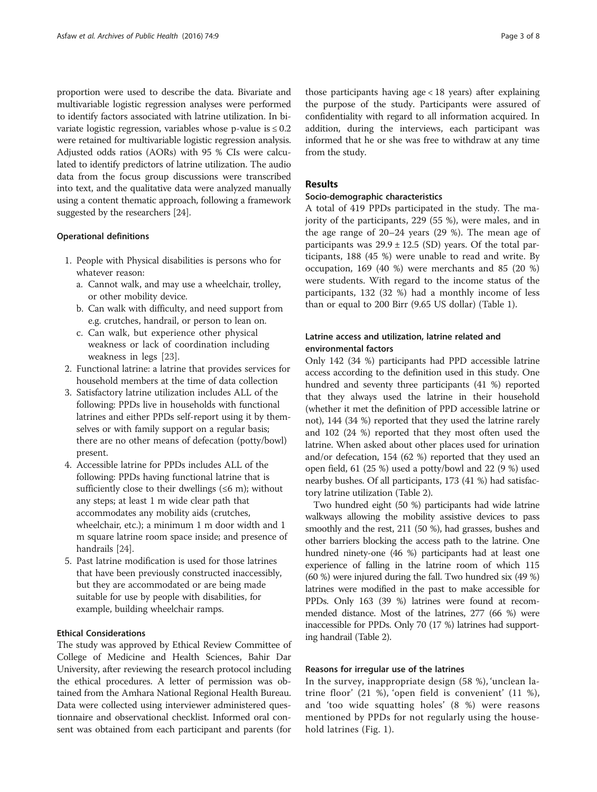proportion were used to describe the data. Bivariate and multivariable logistic regression analyses were performed to identify factors associated with latrine utilization. In bivariate logistic regression, variables whose p-value is  $\leq 0.2$ were retained for multivariable logistic regression analysis. Adjusted odds ratios (AORs) with 95 % CIs were calculated to identify predictors of latrine utilization. The audio data from the focus group discussions were transcribed into text, and the qualitative data were analyzed manually using a content thematic approach, following a framework suggested by the researchers [24].

#### Operational definitions

- 1. People with Physical disabilities is persons who for whatever reason:
	- a. Cannot walk, and may use a wheelchair, trolley, or other mobility device.
	- b. Can walk with difficulty, and need support from e.g. crutches, handrail, or person to lean on.
	- c. Can walk, but experience other physical weakness or lack of coordination including weakness in legs [\[23\]](#page-7-0).
- 2. Functional latrine: a latrine that provides services for household members at the time of data collection
- 3. Satisfactory latrine utilization includes ALL of the following: PPDs live in households with functional latrines and either PPDs self-report using it by themselves or with family support on a regular basis; there are no other means of defecation (potty/bowl) present.
- 4. Accessible latrine for PPDs includes ALL of the following: PPDs having functional latrine that is sufficiently close to their dwellings  $(\leq 6 \text{ m})$ ; without any steps; at least 1 m wide clear path that accommodates any mobility aids (crutches, wheelchair, etc.); a minimum 1 m door width and 1 m square latrine room space inside; and presence of handrails [\[24\]](#page-7-0).
- 5. Past latrine modification is used for those latrines that have been previously constructed inaccessibly, but they are accommodated or are being made suitable for use by people with disabilities, for example, building wheelchair ramps.

### Ethical Considerations

The study was approved by Ethical Review Committee of College of Medicine and Health Sciences, Bahir Dar University, after reviewing the research protocol including the ethical procedures. A letter of permission was obtained from the Amhara National Regional Health Bureau. Data were collected using interviewer administered questionnaire and observational checklist. Informed oral consent was obtained from each participant and parents (for

those participants having age < 18 years) after explaining the purpose of the study. Participants were assured of confidentiality with regard to all information acquired. In addition, during the interviews, each participant was informed that he or she was free to withdraw at any time from the study.

## Results

#### Socio-demographic characteristics

A total of 419 PPDs participated in the study. The majority of the participants, 229 (55 %), were males, and in the age range of 20–24 years (29 %). The mean age of participants was  $29.9 \pm 12.5$  (SD) years. Of the total participants, 188 (45 %) were unable to read and write. By occupation, 169 (40 %) were merchants and 85 (20 %) were students. With regard to the income status of the participants, 132 (32 %) had a monthly income of less than or equal to 200 Birr (9.65 US dollar) (Table [1\)](#page-3-0).

## Latrine access and utilization, latrine related and environmental factors

Only 142 (34 %) participants had PPD accessible latrine access according to the definition used in this study. One hundred and seventy three participants (41 %) reported that they always used the latrine in their household (whether it met the definition of PPD accessible latrine or not), 144 (34 %) reported that they used the latrine rarely and 102 (24 %) reported that they most often used the latrine. When asked about other places used for urination and/or defecation, 154 (62 %) reported that they used an open field, 61 (25 %) used a potty/bowl and 22 (9 %) used nearby bushes. Of all participants, 173 (41 %) had satisfactory latrine utilization (Table [2\)](#page-3-0).

Two hundred eight (50 %) participants had wide latrine walkways allowing the mobility assistive devices to pass smoothly and the rest, 211 (50 %), had grasses, bushes and other barriers blocking the access path to the latrine. One hundred ninety-one (46 %) participants had at least one experience of falling in the latrine room of which 115 (60 %) were injured during the fall. Two hundred six (49 %) latrines were modified in the past to make accessible for PPDs. Only 163 (39 %) latrines were found at recommended distance. Most of the latrines, 277 (66 %) were inaccessible for PPDs. Only 70 (17 %) latrines had supporting handrail (Table [2\)](#page-3-0).

### Reasons for irregular use of the latrines

In the survey, inappropriate design (58 %), 'unclean latrine floor' (21 %), 'open field is convenient' (11 %), and 'too wide squatting holes' (8 %) were reasons mentioned by PPDs for not regularly using the household latrines (Fig. [1\)](#page-4-0).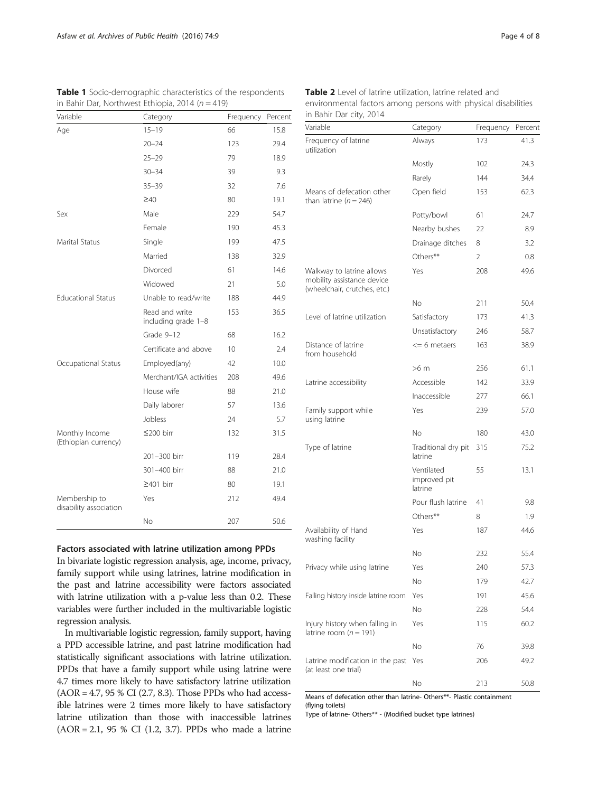| Variable                                | Category                              | Frequency | Percent |
|-----------------------------------------|---------------------------------------|-----------|---------|
| Age                                     | $15 - 19$                             | 66        | 15.8    |
|                                         | $20 - 24$                             | 123       | 29.4    |
|                                         | $25 - 29$                             | 79        | 18.9    |
|                                         | $30 - 34$                             | 39        | 9.3     |
|                                         | $35 - 39$                             | 32        | 7.6     |
|                                         | $\geq 40$                             | 80        | 19.1    |
| Sex                                     | Male                                  | 229       | 54.7    |
|                                         | Female                                | 190       | 45.3    |
| Marital Status                          | Single                                | 199       | 47.5    |
|                                         | Married                               | 138       | 32.9    |
|                                         | Divorced                              | 61        | 14.6    |
|                                         | Widowed                               | 21        | 5.0     |
| <b>Educational Status</b>               | Unable to read/write                  | 188       | 44.9    |
|                                         | Read and write<br>including grade 1-8 | 153       | 36.5    |
|                                         | Grade 9-12                            | 68        | 16.2    |
|                                         | Certificate and above                 | 10        | 2.4     |
| Occupational Status                     | Employed(any)                         | 42        | 10.0    |
|                                         | Merchant/IGA activities               | 208       | 49.6    |
|                                         | House wife                            | 88        | 21.0    |
|                                         | Daily laborer                         | 57        | 13.6    |
|                                         | Jobless                               | 24        | 5.7     |
| Monthly Income<br>(Ethiopian currency)  | ≤200 birr                             | 132       | 31.5    |
|                                         | 201-300 birr                          | 119       | 28.4    |
|                                         | 301-400 birr                          | 88        | 21.0    |
|                                         | $\geq 401$ birr                       | 80        | 19.1    |
| Membership to<br>disability association | Yes                                   | 212       | 49.4    |
|                                         | No                                    | 207       | 50.6    |

<span id="page-3-0"></span>Table 1 Socio-demographic characteristics of the respondents in Bahir Dar, Northwest Ethiopia, 2014 ( $n = 419$ )

## Factors associated with latrine utilization among PPDs

In bivariate logistic regression analysis, age, income, privacy, family support while using latrines, latrine modification in the past and latrine accessibility were factors associated with latrine utilization with a p-value less than 0.2. These variables were further included in the multivariable logistic regression analysis.

In multivariable logistic regression, family support, having a PPD accessible latrine, and past latrine modification had statistically significant associations with latrine utilization. PPDs that have a family support while using latrine were 4.7 times more likely to have satisfactory latrine utilization (AOR = 4.7, 95 % CI (2.7, 8.3). Those PPDs who had accessible latrines were 2 times more likely to have satisfactory latrine utilization than those with inaccessible latrines (AOR = 2.1, 95 % CI (1.2, 3.7). PPDs who made a latrine

| <b>Table 2</b> Level of latrine utilization, latrine related and |
|------------------------------------------------------------------|
| environmental factors among persons with physical disabilities   |
| in Bahir Dar city, 2014                                          |

| Variable                                                                                | Category                              | Frequency      | Percent |
|-----------------------------------------------------------------------------------------|---------------------------------------|----------------|---------|
| Frequency of latrine<br>utilization                                                     | Always                                | 173            | 41.3    |
|                                                                                         | Mostly                                | 102            | 24.3    |
|                                                                                         | Rarely                                | 144            | 34.4    |
| Means of defecation other<br>than latrine ( $n = 246$ )                                 | Open field                            | 153            | 62.3    |
|                                                                                         | Potty/bowl                            | 61             | 24.7    |
|                                                                                         | Nearby bushes                         | 22             | 8.9     |
|                                                                                         | Drainage ditches                      | 8              | 3.2     |
|                                                                                         | Others**                              | $\overline{2}$ | 0.8     |
| Walkway to latrine allows<br>mobility assistance device<br>(wheelchair, crutches, etc.) | Yes                                   | 208            | 49.6    |
|                                                                                         | <b>No</b>                             | 211            | 50.4    |
| Level of latrine utilization                                                            | Satisfactory                          | 173            | 41.3    |
|                                                                                         | Unsatisfactory                        | 246            | 58.7    |
| Distance of latrine<br>from household                                                   | $<= 6$ metaers                        | 163            | 38.9    |
|                                                                                         | $>6$ m                                | 256            | 61.1    |
| Latrine accessibility                                                                   | Accessible                            | 142            | 33.9    |
|                                                                                         | Inaccessible                          | 277            | 66.1    |
| Family support while<br>using latrine                                                   | Yes                                   | 239            | 57.0    |
|                                                                                         | <b>No</b>                             | 180            | 43.0    |
| Type of latrine                                                                         | Traditional dry pit<br>latrine        | 315            | 75.2    |
|                                                                                         | Ventilated<br>improved pit<br>latrine | 55             | 13.1    |
|                                                                                         | Pour flush latrine                    | 41             | 9.8     |
|                                                                                         | Others**                              | 8              | 1.9     |
| Availability of Hand<br>washing facility                                                | Yes                                   | 187            | 44.6    |
|                                                                                         | <b>No</b>                             | 232            | 55.4    |
| Privacy while using latrine                                                             | Yes                                   | 240            | 57.3    |
|                                                                                         | No                                    | 179            | 42.7    |
| Falling history inside latrine room                                                     | Yes                                   | 191            | 45.6    |
|                                                                                         | No                                    | 228            | 54.4    |
| Injury history when falling in<br>latrine room $(n = 191)$                              | Yes                                   | 115            | 60.2    |
|                                                                                         | No                                    | 76             | 39.8    |
| Latrine modification in the past<br>(at least one trial)                                | Yes                                   | 206            | 49.2    |
|                                                                                         | No                                    | 213            | 50.8    |

Means of defecation other than latrine- Others\*\*- Plastic containment (flying toilets)

Type of latrine- Others\*\* - (Modified bucket type latrines)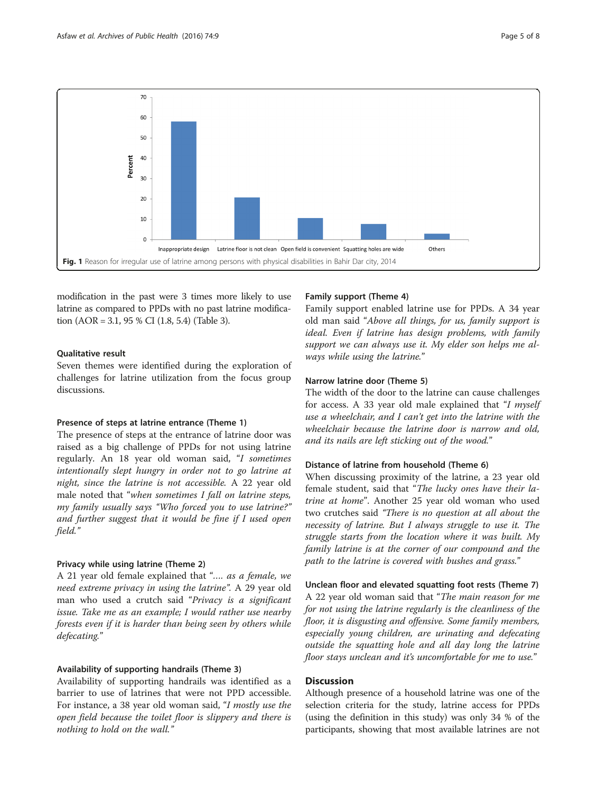<span id="page-4-0"></span>

modification in the past were 3 times more likely to use latrine as compared to PPDs with no past latrine modification (AOR = 3.1, 95 % CI (1.8, 5.4) (Table [3\)](#page-5-0).

## Qualitative result

Seven themes were identified during the exploration of challenges for latrine utilization from the focus group discussions.

#### Presence of steps at latrine entrance (Theme 1)

The presence of steps at the entrance of latrine door was raised as a big challenge of PPDs for not using latrine regularly. An 18 year old woman said, "I sometimes intentionally slept hungry in order not to go latrine at night, since the latrine is not accessible. A 22 year old male noted that "when sometimes I fall on latrine steps, my family usually says "Who forced you to use latrine?" and further suggest that it would be fine if I used open field."

#### Privacy while using latrine (Theme 2)

A 21 year old female explained that "…. as a female, we need extreme privacy in using the latrine". A 29 year old man who used a crutch said "Privacy is a significant issue. Take me as an example; I would rather use nearby forests even if it is harder than being seen by others while defecating."

#### Availability of supporting handrails (Theme 3)

Availability of supporting handrails was identified as a barrier to use of latrines that were not PPD accessible. For instance, a 38 year old woman said, "I mostly use the open field because the toilet floor is slippery and there is nothing to hold on the wall."

#### Family support (Theme 4)

Family support enabled latrine use for PPDs. A 34 year old man said "Above all things, for us, family support is ideal. Even if latrine has design problems, with family support we can always use it. My elder son helps me always while using the latrine."

#### Narrow latrine door (Theme 5)

The width of the door to the latrine can cause challenges for access. A 33 year old male explained that "I myself use a wheelchair, and I can't get into the latrine with the wheelchair because the latrine door is narrow and old, and its nails are left sticking out of the wood."

## Distance of latrine from household (Theme 6)

When discussing proximity of the latrine, a 23 year old female student, said that "The lucky ones have their latrine at home". Another 25 year old woman who used two crutches said "There is no question at all about the necessity of latrine. But I always struggle to use it. The struggle starts from the location where it was built. My family latrine is at the corner of our compound and the path to the latrine is covered with bushes and grass."

Unclean floor and elevated squatting foot rests (Theme 7) A 22 year old woman said that "The main reason for me for not using the latrine regularly is the cleanliness of the floor, it is disgusting and offensive. Some family members, especially young children, are urinating and defecating outside the squatting hole and all day long the latrine floor stays unclean and it's uncomfortable for me to use."

## **Discussion**

Although presence of a household latrine was one of the selection criteria for the study, latrine access for PPDs (using the definition in this study) was only 34 % of the participants, showing that most available latrines are not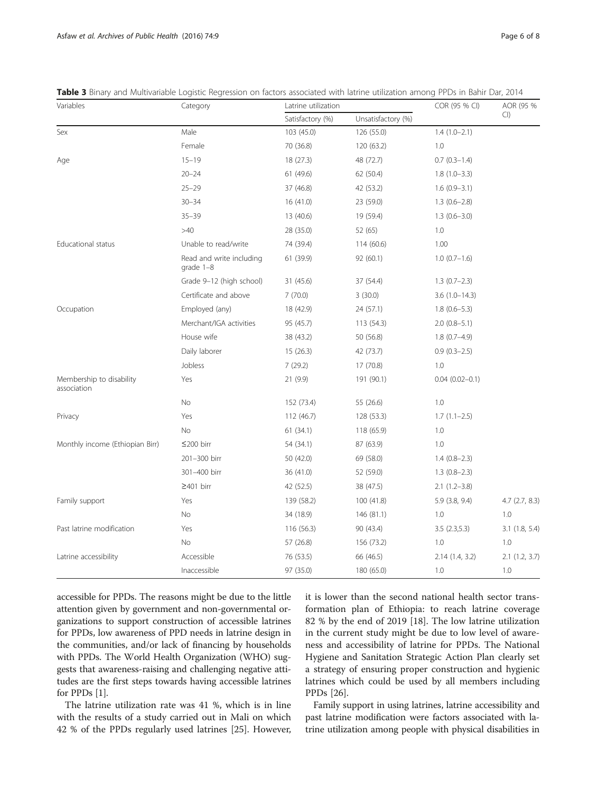| Variables                               | Category                                | Latrine utilization |                    | COR (95 % CI)      | AOR (95 %          |
|-----------------------------------------|-----------------------------------------|---------------------|--------------------|--------------------|--------------------|
|                                         |                                         | Satisfactory (%)    | Unsatisfactory (%) |                    | $\bigcup$          |
| Sex                                     | Male                                    | 103 (45.0)          | 126 (55.0)         | $1.4(1.0-2.1)$     |                    |
|                                         | Female                                  | 70 (36.8)           | 120 (63.2)         | 1.0                |                    |
| Age                                     | $15 - 19$                               | 18 (27.3)           | 48 (72.7)          | $0.7(0.3-1.4)$     |                    |
|                                         | $20 - 24$                               | 61 (49.6)           | 62 (50.4)          | $1.8(1.0-3.3)$     |                    |
|                                         | $25 - 29$                               | 37 (46.8)           | 42 (53.2)          | $1.6(0.9 - 3.1)$   |                    |
|                                         | $30 - 34$                               | 16(41.0)            | 23 (59.0)          | $1.3(0.6-2.8)$     |                    |
|                                         | $35 - 39$                               | 13 (40.6)           | 19 (59.4)          | $1.3(0.6 - 3.0)$   |                    |
|                                         | >40                                     | 28 (35.0)           | 52 (65)            | 1.0                |                    |
| <b>Educational status</b>               | Unable to read/write                    | 74 (39.4)           | 114 (60.6)         | 1.00               |                    |
|                                         | Read and write including<br>grade $1-8$ | 61 (39.9)           | 92 (60.1)          | $1.0(0.7-1.6)$     |                    |
|                                         | Grade 9-12 (high school)                | 31 (45.6)           | 37 (54.4)          | $1.3(0.7-2.3)$     |                    |
|                                         | Certificate and above                   | 7(70.0)             | 3(30.0)            | $3.6(1.0-14.3)$    |                    |
| Occupation                              | Employed (any)                          | 18 (42.9)           | 24 (57.1)          | $1.8(0.6-5.3)$     |                    |
|                                         | Merchant/IGA activities                 | 95 (45.7)           | 113 (54.3)         | $2.0(0.8-5.1)$     |                    |
|                                         | House wife                              | 38 (43.2)           | 50 (56.8)          | $1.8(0.7-4.9)$     |                    |
|                                         | Daily laborer                           | 15(26.3)            | 42 (73.7)          | $0.9(0.3-2.5)$     |                    |
|                                         | Jobless                                 | 7(29.2)             | 17 (70.8)          | 1.0                |                    |
| Membership to disability<br>association | Yes                                     | 21 (9.9)            | 191 (90.1)         | $0.04(0.02 - 0.1)$ |                    |
|                                         | No                                      | 152 (73.4)          | 55 (26.6)          | 1.0                |                    |
| Privacy                                 | Yes                                     | 112 (46.7)          | 128 (53.3)         | $1.7(1.1-2.5)$     |                    |
|                                         | No                                      | 61(34.1)            | 118 (65.9)         | 1.0                |                    |
| Monthly income (Ethiopian Birr)         | ≤200 birr                               | 54 (34.1)           | 87 (63.9)          | 1.0                |                    |
|                                         | 201-300 birr                            | 50 (42.0)           | 69 (58.0)          | $1.4(0.8-2.3)$     |                    |
|                                         | 301-400 birr                            | 36 (41.0)           | 52 (59.0)          | $1.3(0.8-2.3)$     |                    |
|                                         | $\geq 401$ birr                         | 42 (52.5)           | 38 (47.5)          | $2.1(1.2-3.8)$     |                    |
| Family support                          | Yes                                     | 139 (58.2)          | 100 (41.8)         | 5.9 (3.8, 9.4)     | 4.7 (2.7, 8.3)     |
|                                         | No                                      | 34 (18.9)           | 146 (81.1)         | 1.0                | 1.0                |
| Past latrine modification               | Yes                                     | 116 (56.3)          | 90 (43.4)          | 3.5(2.3,5.3)       | $3.1$ $(1.8, 5.4)$ |
|                                         | <b>No</b>                               | 57 (26.8)           | 156 (73.2)         | 1.0                | 1.0                |
| Latrine accessibility                   | Accessible                              | 76 (53.5)           | 66 (46.5)          | 2.14 (1.4, 3.2)    | 2.1(1.2, 3.7)      |
|                                         | Inaccessible                            | 97 (35.0)           | 180 (65.0)         | 1.0                | 1.0                |

<span id="page-5-0"></span>Table 3 Binary and Multivariable Logistic Regression on factors associated with latrine utilization among PPDs in Bahir Dar, 2014

accessible for PPDs. The reasons might be due to the little attention given by government and non-governmental organizations to support construction of accessible latrines for PPDs, low awareness of PPD needs in latrine design in the communities, and/or lack of financing by households with PPDs. The World Health Organization (WHO) suggests that awareness-raising and challenging negative attitudes are the first steps towards having accessible latrines for PPDs [\[1\]](#page-6-0).

The latrine utilization rate was 41 %, which is in line with the results of a study carried out in Mali on which 42 % of the PPDs regularly used latrines [[25](#page-7-0)]. However, it is lower than the second national health sector transformation plan of Ethiopia: to reach latrine coverage 82 % by the end of 2019 [\[18](#page-7-0)]. The low latrine utilization in the current study might be due to low level of awareness and accessibility of latrine for PPDs. The National Hygiene and Sanitation Strategic Action Plan clearly set a strategy of ensuring proper construction and hygienic latrines which could be used by all members including PPDs [[26\]](#page-7-0).

Family support in using latrines, latrine accessibility and past latrine modification were factors associated with latrine utilization among people with physical disabilities in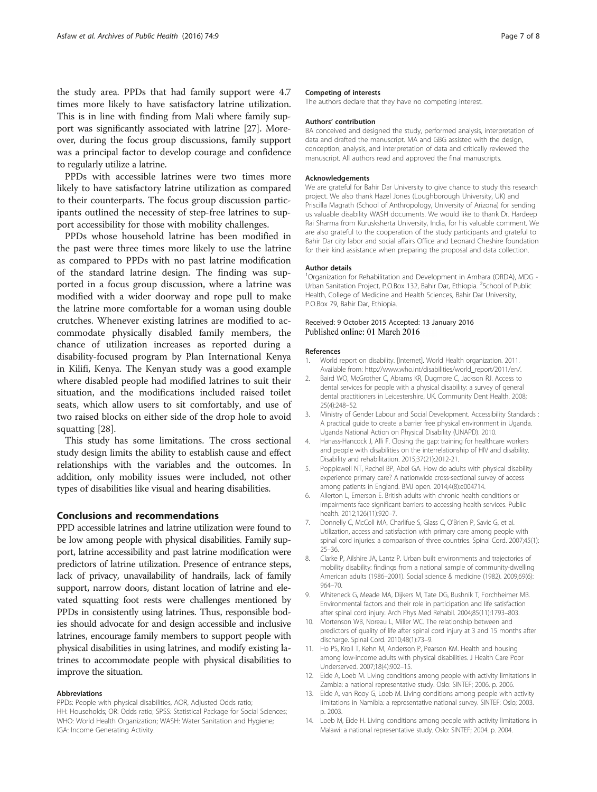<span id="page-6-0"></span>the study area. PPDs that had family support were 4.7 times more likely to have satisfactory latrine utilization. This is in line with finding from Mali where family support was significantly associated with latrine [\[27\]](#page-7-0). Moreover, during the focus group discussions, family support was a principal factor to develop courage and confidence to regularly utilize a latrine.

PPDs with accessible latrines were two times more likely to have satisfactory latrine utilization as compared to their counterparts. The focus group discussion participants outlined the necessity of step-free latrines to support accessibility for those with mobility challenges.

PPDs whose household latrine has been modified in the past were three times more likely to use the latrine as compared to PPDs with no past latrine modification of the standard latrine design. The finding was supported in a focus group discussion, where a latrine was modified with a wider doorway and rope pull to make the latrine more comfortable for a woman using double crutches. Whenever existing latrines are modified to accommodate physically disabled family members, the chance of utilization increases as reported during a disability-focused program by Plan International Kenya in Kilifi, Kenya. The Kenyan study was a good example where disabled people had modified latrines to suit their situation, and the modifications included raised toilet seats, which allow users to sit comfortably, and use of two raised blocks on either side of the drop hole to avoid squatting [[28](#page-7-0)].

This study has some limitations. The cross sectional study design limits the ability to establish cause and effect relationships with the variables and the outcomes. In addition, only mobility issues were included, not other types of disabilities like visual and hearing disabilities.

## Conclusions and recommendations

PPD accessible latrines and latrine utilization were found to be low among people with physical disabilities. Family support, latrine accessibility and past latrine modification were predictors of latrine utilization. Presence of entrance steps, lack of privacy, unavailability of handrails, lack of family support, narrow doors, distant location of latrine and elevated squatting foot rests were challenges mentioned by PPDs in consistently using latrines. Thus, responsible bodies should advocate for and design accessible and inclusive latrines, encourage family members to support people with physical disabilities in using latrines, and modify existing latrines to accommodate people with physical disabilities to improve the situation.

#### Abbreviations

PPDs: People with physical disabilities, AOR, Adjusted Odds ratio; HH: Households; OR: Odds ratio; SPSS: Statistical Package for Social Sciences; WHO: World Health Organization; WASH: Water Sanitation and Hygiene; IGA: Income Generating Activity.

#### Competing of interests

The authors declare that they have no competing interest.

#### Authors' contribution

BA conceived and designed the study, performed analysis, interpretation of data and drafted the manuscript. MA and GBG assisted with the design, conception, analysis, and interpretation of data and critically reviewed the manuscript. All authors read and approved the final manuscripts.

#### Acknowledgements

We are grateful for Bahir Dar University to give chance to study this research project. We also thank Hazel Jones (Loughborough University, UK) and Priscilla Magrath (School of Anthropology, University of Arizona) for sending us valuable disability WASH documents. We would like to thank Dr. Hardeep Rai Sharma from Kurusksherta University, India, for his valuable comment. We are also grateful to the cooperation of the study participants and grateful to Bahir Dar city labor and social affairs Office and Leonard Cheshire foundation for their kind assistance when preparing the proposal and data collection.

#### Author details

<sup>1</sup>Organization for Rehabilitation and Development in Amhara (ORDA), MDG -Urban Sanitation Project, P.O.Box 132, Bahir Dar, Ethiopia. <sup>2</sup>School of Public Health, College of Medicine and Health Sciences, Bahir Dar University, P.O.Box 79, Bahir Dar, Ethiopia.

#### Received: 9 October 2015 Accepted: 13 January 2016 Published online: 01 March 2016

#### References

- 1. World report on disability. [Internet]. World Health organization. 2011. Available from: [http://www.who.int/disabilities/world\\_report/2011/en/](http://www.who.int/disabilities/world_report/2011/en/).
- 2. Baird WO, McGrother C, Abrams KR, Dugmore C, Jackson RJ. Access to dental services for people with a physical disability: a survey of general dental practitioners in Leicestershire, UK. Community Dent Health. 2008; 25(4):248–52.
- 3. Ministry of Gender Labour and Social Development. Accessibility Standards : A practical guide to create a barrier free physical environment in Uganda. Uganda National Action on Physical Disability (UNAPD). 2010.
- 4. Hanass-Hancock J, Alli F. Closing the gap: training for healthcare workers and people with disabilities on the interrelationship of HIV and disability. Disability and rehabilitation. 2015;37(21):2012-21.
- 5. Popplewell NT, Rechel BP, Abel GA. How do adults with physical disability experience primary care? A nationwide cross-sectional survey of access among patients in England. BMJ open. 2014;4(8):e004714.
- 6. Allerton L, Emerson E. British adults with chronic health conditions or impairments face significant barriers to accessing health services. Public health. 2012;126(11):920–7.
- Donnelly C, McColl MA, Charlifue S, Glass C, O'Brien P, Savic G, et al. Utilization, access and satisfaction with primary care among people with spinal cord injuries: a comparison of three countries. Spinal Cord. 2007;45(1): 25–36.
- 8. Clarke P, Ailshire JA, Lantz P. Urban built environments and trajectories of mobility disability: findings from a national sample of community-dwelling American adults (1986–2001). Social science & medicine (1982). 2009;69(6): 964–70.
- 9. Whiteneck G, Meade MA, Dijkers M, Tate DG, Bushnik T, Forchheimer MB. Environmental factors and their role in participation and life satisfaction after spinal cord injury. Arch Phys Med Rehabil. 2004;85(11):1793–803.
- 10. Mortenson WB, Noreau L, Miller WC. The relationship between and predictors of quality of life after spinal cord injury at 3 and 15 months after discharge. Spinal Cord. 2010;48(1):73–9.
- 11. Ho PS, Kroll T, Kehn M, Anderson P, Pearson KM. Health and housing among low-income adults with physical disabilities. J Health Care Poor Underserved. 2007;18(4):902–15.
- 12. Eide A, Loeb M. Living conditions among people with activity limitations in Zambia: a national representative study. Oslo: SINTEF; 2006. p. 2006.
- 13. Eide A, van Rooy G, Loeb M. Living conditions among people with activity limitations in Namibia: a representative national survey. SINTEF: Oslo; 2003. p. 2003.
- 14. Loeb M, Eide H. Living conditions among people with activity limitations in Malawi: a national representative study. Oslo: SINTEF; 2004. p. 2004.